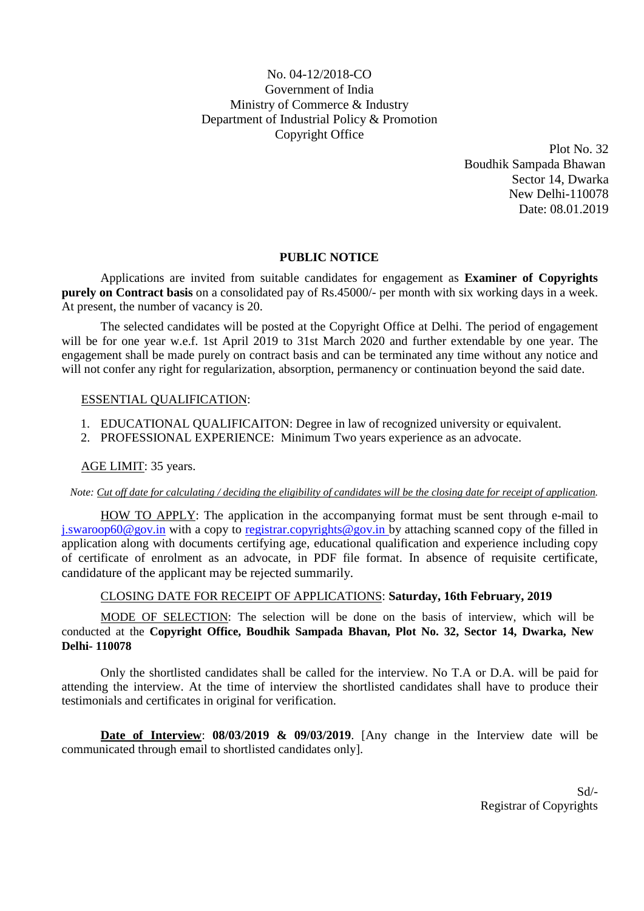# No. 04-12/2018-CO Government of India Ministry of Commerce & Industry Department of Industrial Policy & Promotion Copyright Office

Plot No. 32 Boudhik Sampada Bhawan Sector 14, Dwarka New Delhi-110078 Date: 08.01.2019

# **PUBLIC NOTICE**

Applications are invited from suitable candidates for engagement as **Examiner of Copyrights purely on Contract basis** on a consolidated pay of Rs.45000/- per month with six working days in a week. At present, the number of vacancy is 20.

The selected candidates will be posted at the Copyright Office at Delhi. The period of engagement will be for one year w.e.f. 1st April 2019 to 31st March 2020 and further extendable by one year. The engagement shall be made purely on contract basis and can be terminated any time without any notice and will not confer any right for regularization, absorption, permanency or continuation beyond the said date.

# ESSENTIAL QUALIFICATION:

- 1. EDUCATIONAL QUALIFICAITON: Degree in law of recognized university or equivalent.
- 2. PROFESSIONAL EXPERIENCE: Minimum Two years experience as an advocate.

# AGE LIMIT: 35 years.

*Note: Cut off date for calculating / deciding the eligibility of candidates will be the closing date for receipt of application.*

HOW TO APPLY: The application in the accompanying format must be sent through e-mail to [j.swaroop60@gov.in](mailto:j.swaroop60@gov.in) with a copy to [registrar.copyrights@gov.in b](mailto:registrar.copyrights@gov.in)y attaching scanned copy of the filled in application along with documents certifying age, educational qualification and experience including copy of certificate of enrolment as an advocate, in PDF file format. In absence of requisite certificate, candidature of the applicant may be rejected summarily.

# CLOSING DATE FOR RECEIPT OF APPLICATIONS: **Saturday, 16th February, 2019**

MODE OF SELECTION: The selection will be done on the basis of interview, which will be conducted at the **Copyright Office, Boudhik Sampada Bhavan, Plot No. 32, Sector 14, Dwarka, New Delhi- 110078**

Only the shortlisted candidates shall be called for the interview. No T.A or D.A. will be paid for attending the interview. At the time of interview the shortlisted candidates shall have to produce their testimonials and certificates in original for verification.

**Date of Interview**: **08/03/2019 & 09/03/2019**. [Any change in the Interview date will be communicated through email to shortlisted candidates only].

> Sd/- Registrar of Copyrights